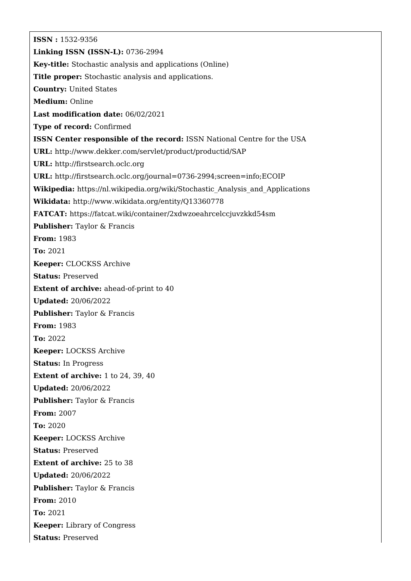**ISSN :** 1532-9356 **Linking ISSN (ISSN-L):** 0736-2994 **Key-title:** Stochastic analysis and applications (Online) **Title proper:** Stochastic analysis and applications. **Country:** United States **Medium:** Online **Last modification date:** 06/02/2021 **Type of record:** Confirmed **ISSN Center responsible of the record:** ISSN National Centre for the USA **URL:** <http://www.dekker.com/servlet/product/productid/SAP> **URL:** <http://firstsearch.oclc.org> **URL:** <http://firstsearch.oclc.org/journal=0736-2994;screen=info;ECOIP> Wikipedia: https://nl.wikipedia.org/wiki/Stochastic Analysis and Applications **Wikidata:** <http://www.wikidata.org/entity/Q13360778> **FATCAT:** <https://fatcat.wiki/container/2xdwzoeahrcelccjuvzkkd54sm> **Publisher:** Taylor & Francis **From:** 1983 **To:** 2021 **Keeper:** CLOCKSS Archive **Status:** Preserved **Extent of archive:** ahead-of-print to 40 **Updated:** 20/06/2022 **Publisher:** Taylor & Francis **From:** 1983 **To:** 2022 **Keeper:** LOCKSS Archive **Status:** In Progress **Extent of archive:** 1 to 24, 39, 40 **Updated:** 20/06/2022 **Publisher:** Taylor & Francis **From:** 2007 **To:** 2020 **Keeper:** LOCKSS Archive **Status:** Preserved **Extent of archive:** 25 to 38 **Updated:** 20/06/2022 **Publisher:** Taylor & Francis **From:** 2010 **To:** 2021 **Keeper:** Library of Congress **Status:** Preserved